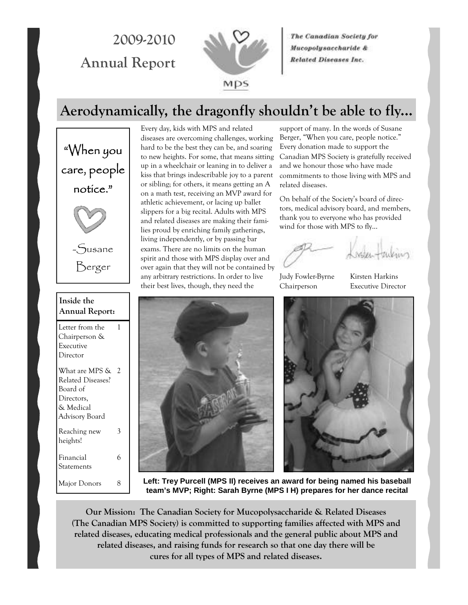# **2009-2010 Annual Report**



The Canadian Society for Mucopolysaccharide & **Related Diseases Inc.** 

## **Aerodynamically, the dragonfly shouldn't be able to fly...**

"When you care, people notice." -Susane Berger

| Inside the<br><b>Annual Report:</b>                                                          |   |  |
|----------------------------------------------------------------------------------------------|---|--|
| Letter from the<br>Chairperson &<br>Executive<br>Director                                    | 1 |  |
| What are MPS &<br>Related Diseases?<br>Board of<br>Directors,<br>& Medical<br>Advisory Board | 2 |  |
| Reaching new<br>heights!                                                                     | 3 |  |
| Financial<br>Statements                                                                      | 6 |  |
| Major Donors                                                                                 | 8 |  |

Every day, kids with MPS and related diseases are overcoming challenges, working hard to be the best they can be, and soaring to new heights. For some, that means sitting up in a wheelchair or leaning in to deliver a kiss that brings indescribable joy to a parent or sibling; for others, it means getting an A on a math test, receiving an MVP award for athletic achievement, or lacing up ballet slippers for a big recital. Adults with MPS and related diseases are making their families proud by enriching family gatherings, living independently, or by passing bar exams. There are no limits on the human spirit and those with MPS display over and over again that they will not be contained by any arbitrary restrictions. In order to live their best lives, though, they need the

support of many. In the words of Susane Berger, "When you care, people notice." Every donation made to support the Canadian MPS Society is gratefully received and we honour those who have made commitments to those living with MPS and related diseases.

On behalf of the Society's board of directors, medical advisory board, and members, thank you to everyone who has provided wind for those with MPS to fly...

Judy Fowler-Byrne Kirsten Harkins Chairperson Executive Director





**Left: Trey Purcell (MPS II) receives an award for being named his baseball team's MVP; Right: Sarah Byrne (MPS I H) prepares for her dance recital** 

**Our Mission: The Canadian Society for Mucopolysaccharide & Related Diseases (The Canadian MPS Society) is committed to supporting families affected with MPS and related diseases, educating medical professionals and the general public about MPS and related diseases, and raising funds for research so that one day there will be cures for all types of MPS and related diseases.**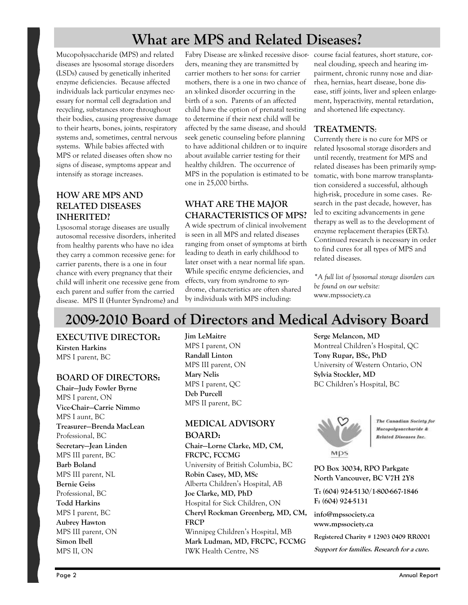## **What are MPS and Related Diseases?**

Mucopolysaccharide (MPS) and related diseases are lysosomal storage disorders (LSDs) caused by genetically inherited enzyme deficiencies. Because affected individuals lack particular enzymes necessary for normal cell degradation and recycling, substances store throughout their bodies, causing progressive damage to their hearts, bones, joints, respiratory systems and, sometimes, central nervous systems. While babies affected with MPS or related diseases often show no signs of disease, symptoms appear and intensify as storage increases.

#### **HOW ARE MPS AND RELATED DISEASES INHERITED?**

Lysosomal storage diseases are usually autosomal recessive disorders, inherited from healthy parents who have no idea they carry a common recessive gene: for carrier parents, there is a one in four chance with every pregnancy that their child will inherit one recessive gene from each parent and suffer from the carried disease. MPS II (Hunter Syndrome) and

Fabry Disease are x-linked recessive disor-course facial features, short stature, corders, meaning they are transmitted by carrier mothers to her sons: for carrier mothers, there is a one in two chance of an x-linked disorder occurring in the birth of a son. Parents of an affected child have the option of prenatal testing to determine if their next child will be affected by the same disease, and should seek genetic counseling before planning to have additional children or to inquire about available carrier testing for their healthy children. The occurrence of MPS in the population is estimated to be one in 25,000 births.

#### **WHAT ARE THE MAJOR CHARACTERISTICS OF MPS?**

A wide spectrum of clinical involvement is seen in all MPS and related diseases ranging from onset of symptoms at birth leading to death in early childhood to later onset with a near normal life span. While specific enzyme deficiencies, and effects, vary from syndrome to syndrome, characteristics are often shared by individuals with MPS including:

neal clouding, speech and hearing impairment, chronic runny nose and diarrhea, hernias, heart disease, bone disease, stiff joints, liver and spleen enlargement, hyperactivity, mental retardation, and shortened life expectancy.

#### **TREATMENTS**:

Currently there is no cure for MPS or related lysosomal storage disorders and until recently, treatment for MPS and related diseases has been primarily symptomatic, with bone marrow transplantation considered a successful, although high-risk, procedure in some cases. Research in the past decade, however, has led to exciting advancements in gene therapy as well as to the development of enzyme replacement therapies (ERTs). Continued research is necessary in order to find cures for all types of MPS and related diseases.

*\*A full list of lysosomal storage disorders can be found on our website:*  www.mpssociety.ca

# **2009-2010 Board of Directors and Medical Advisory Board**

**EXECUTIVE DIRECTOR: Kirsten Harkins** 

MPS I parent, BC

#### **BOARD OF DIRECTORS:**

**Chair—Judy Fowler Byrne**  MPS I parent, ON **Vice-Chair—Carrie Nimmo**  MPS I aunt, BC **Treasurer—Brenda MacLean**  Professional, BC **Secretary—Jean Linden**  MPS III parent, BC **Barb Boland**  MPS III parent, NL **Bernie Geiss**  Professional, BC **Todd Harkins**  MPS I parent, BC **Aubrey Hawton**  MPS III parent, ON **Simon Ibell**  MPS II, ON

**Jim LeMaitre**  MPS I parent, ON **Randall Linton**  MPS III parent, ON **Mary Nelis**  MPS I parent, QC **Deb Purcell**  MPS II parent, BC

#### **MEDICAL ADVISORY BOARD:**

**Chair—Lorne Clarke, MD, CM, FRCPC, FCCMG**  University of British Columbia, BC **Robin Casey, MD, MSc**  Alberta Children's Hospital, AB **Joe Clarke, MD, PhD**  Hospital for Sick Children, ON **Cheryl Rockman Greenberg, MD, CM, FRCP**  Winnipeg Children's Hospital, MB **Mark Ludman, MD, FRCPC, FCCMG**  IWK Health Centre, NS

**Serge Melancon, MD**  Montreal Children's Hospital, QC **Tony Rupar, BSc, PhD**  University of Western Ontario, ON **Sylvia Stockler, MD**  BC Children's Hospital, BC



The Canadian Society for Mucopolysaccharide & **Related Diseases Inc.** 

**PO Box 30034, RPO Parkgate North Vancouver, BC V7H 2Y8** 

**T: (604) 924-5130/1-800-667-1846 F: (604) 924-5131** 

**info@mpssociety.ca www.mpssociety.ca** 

**Registered Charity # 12903 0409 RR0001** 

**Support for families. Research for a cure.**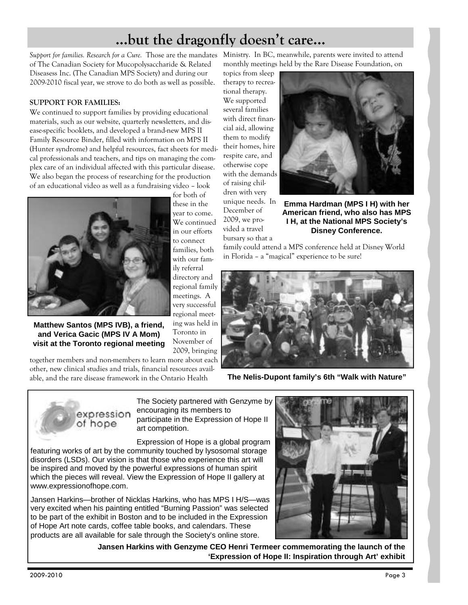# **...but the dragonfly doesn't care...**

Support for families. Research for a Cure. Those are the mandates Ministry. In BC, meanwhile, parents were invited to attend of The Canadian Society for Mucopolysaccharide & Related Diseasess Inc. (The Canadian MPS Society) and during our 2009-2010 fiscal year, we strove to do both as well as possible.

#### **SUPPORT FOR FAMILIES:**

We continued to support families by providing educational materials, such as our website, quarterly newsletters, and disease-specific booklets, and developed a brand-new MPS II Family Resource Binder, filled with information on MPS II (Hunter syndrome) and helpful resources, fact sheets for medical professionals and teachers, and tips on managing the complex care of an individual affected with this particular disease. We also began the process of researching for the production of an educational video as well as a fundraising video – look



**Matthew Santos (MPS IVB), a friend, and Verica Gacic (MPS IV A Mom) visit at the Toronto regional meeting** 

together members and non-members to learn more about each other, new clinical studies and trials, financial resources available, and the rare disease framework in the Ontario Health

for both of these in the year to come. We continued in our efforts to connect families, both with our family referral directory and regional family meetings. A very successful regional meeting was held in Toronto in November of 2009, bringing bursary so that a

monthly meetings held by the Rare Disease Foundation, on

topics from sleep therapy to recreational therapy. We supported several families with direct financial aid, allowing them to modify their homes, hire respite care, and otherwise cope with the demands of raising children with very unique needs. In December of 2009, we provided a travel



**Emma Hardman (MPS I H) with her American friend, who also has MPS I H, at the National MPS Society's Disney Conference.** 

family could attend a MPS conference held at Disney World in Florida – a "magical" experience to be sure!



**The Nelis-Dupont family's 6th "Walk with Nature"** 

expression of hope

The Society partnered with Genzyme by encouraging its members to

participate in the Expression of Hope II art competition.

Expression of Hope is a global program featuring works of art by the community touched by lysosomal storage disorders (LSDs). Our vision is that those who experience this art will be inspired and moved by the powerful expressions of human spirit which the pieces will reveal. View the Expression of Hope II gallery at www.expressionofhope.com.

Jansen Harkins—brother of Nicklas Harkins, who has MPS I H/S—was very excited when his painting entitled "Burning Passion" was selected to be part of the exhibit in Boston and to be included in the Expression of Hope Art note cards, coffee table books, and calendars. These products are all available for sale through the Society's online store.

**Jansen Harkins with Genzyme CEO Henri Termeer commemorating the launch of the 'Expression of Hope II: Inspiration through Art' exhibit** 

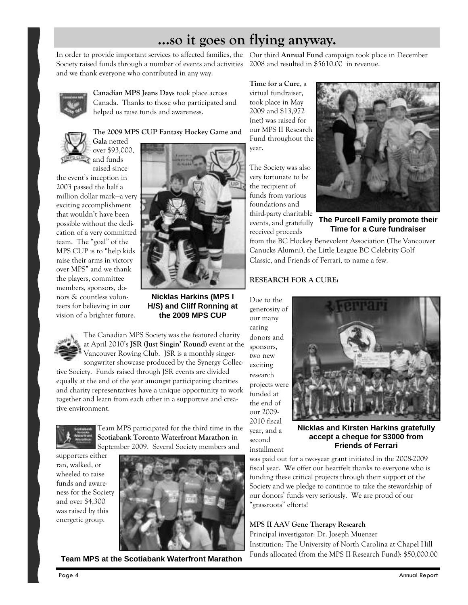## **...so it goes on flying anyway.**

In order to provide important services to affected families, the Our third **Annual Fund** campaign took place in December Society raised funds through a number of events and activities 2008 and resulted in \$5610.00 in revenue. and we thank everyone who contributed in any way.



**Canadian MPS Jeans Days** took place across Canada. Thanks to those who participated and helped us raise funds and awareness.



**The 2009 MPS CUP Fantasy Hockey Game and Gala** netted over \$93,000, and funds

raised since the event's inception in 2003 passed the half a million dollar mark—a very exciting accomplishment that wouldn't have been possible without the dedication of a very committed team. The "goal" of the MPS CUP is to "help kids raise their arms in victory over MPS" and we thank the players, committee members, sponsors, donors & countless volunteers for believing in our vision of a brighter future.



**Nicklas Harkins (MPS I H/S) and Cliff Ronning at the 2009 MPS CUP** 

The Canadian MPS Society was the featured charity at April 2010's **JSR (Just Singin' Round)** event at the Vancouver Rowing Club. JSR is a monthly singersongwriter showcase produced by the Synergy Collec-

tive Society. Funds raised through JSR events are divided equally at the end of the year amongst participating charities and charity representatives have a unique opportunity to work together and learn from each other in a supportive and creative environment.



Team MPS participated for the third time in the **Scotiabank Toronto Waterfront Marathon** in September 2009.Several Society members and

supporters either ran, walked, or wheeled to raise funds and awareness for the Society and over \$4,300 was raised by this energetic group.



**Team MPS at the Scotiabank Waterfront Marathon** 

**Time for a Cure**, a virtual fundraiser, took place in May 2009 and \$13,972 (net) was raised for our MPS II Research Fund throughout the year.

The Society was also very fortunate to be the recipient of funds from various foundations and third-party charitable events, and gratefully received proceeds



**The Purcell Family promote their Time for a Cure fundraiser** 

from the BC Hockey Benevolent Association (The Vancouver Canucks Alumni), the Little League BC Celebrity Golf Classic, and Friends of Ferrari, to name a few.

#### **RESEARCH FOR A CURE:**

Due to the generosity of our many caring donors and sponsors, two new exciting research projects were funded at the end of our 2009- 2010 fiscal year, and a second installment



**Nicklas and Kirsten Harkins gratefully accept a cheque for \$3000 from Friends of Ferrari** 

was paid out for a two-year grant initiated in the 2008-2009 fiscal year. We offer our heartfelt thanks to everyone who is funding these critical projects through their support of the Society and we pledge to continue to take the stewardship of our donors' funds very seriously. We are proud of our "grassroots" efforts!

#### **MPS II AAV Gene Therapy Research**

Principal investigator: Dr. Joseph Muenzer Institution: The University of North Carolina at Chapel Hill Funds allocated (from the MPS II Research Fund): \$50,000.00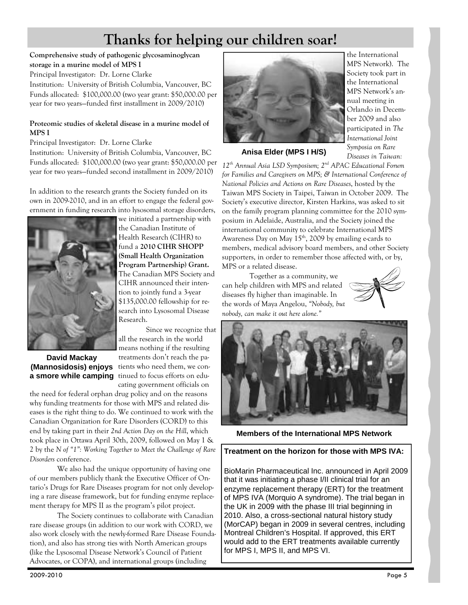# **Thanks for helping our children soar!**

#### **Comprehensive study of pathogenic glycosaminoglycan storage in a murine model of MPS I**

Principal Investigator: Dr. Lorne Clarke

Institution: University of British Columbia, Vancouver, BC Funds allocated: \$100,000.00 (two year grant: \$50,000.00 per year for two years—funded first installment in 2009/2010)

#### **Proteomic studies of skeletal disease in a murine model of MPS I**

Principal Investigator: Dr. Lorne Clarke Institution: University of British Columbia, Vancouver, BC Funds allocated: \$100,000.00 (two year grant: \$50,000.00 per year for two years—funded second installment in 2009/2010)

In addition to the research grants the Society funded on its own in 2009-2010, and in an effort to engage the federal government in funding research into lysosomal storage disorders,



# **David Mackay**

we initiated a partnership with the Canadian Institute of Health Research (CIHR) to fund a **2010 CIHR SHOPP (Small Health Organization Program Partnership) Grant.**  The Canadian MPS Society and CIHR announced their intention to jointly fund a 3-year \$135,000.00 fellowship for research into Lysosomal Disease Research.

 Since we recognize that all the research in the world means nothing if the resulting treatments don't reach the pa-**(Mannosidosis) enjoys** tients who need them, we cona smore while camping tinued to focus efforts on educating government officials on

the need for federal orphan drug policy and on the reasons why funding treatments for those with MPS and related diseases is the right thing to do. We continued to work with the Canadian Organization for Rare Disorders (CORD) to this end by taking part in their *2nd Action Day on the Hill*, which took place in Ottawa April 30th, 2009, followed on May 1 & 2 by the *N of "1": Working Together to Meet the Challenge of Rare Disorders* conference.

 We also had the unique opportunity of having one of our members publicly thank the Executive Officer of Ontario's Drugs for Rare Diseases program for not only developing a rare disease framework, but for funding enzyme replacement therapy for MPS II as the program's pilot project.

 The Society continues to collaborate with Canadian rare disease groups (in addition to our work with CORD, we also work closely with the newly-formed Rare Disease Foundation), and also has strong ties with North American groups (like the Lysosomal Disease Network's Council of Patient Advocates, or COPA), and international groups (including



the International MPS Network). The Society took part in the International MPS Network's annual meeting in Orlando in December 2009 and also participated in *The International Joint Symposia on Rare Diseases in Taiwan:* 

**Anisa Elder (MPS I H/S)** 

*12th Annual Asia LSD Symposium; 2nd APAC Educational Forum for Families and Caregivers on MPS; & International Conference of National Policies and Actions on Rare Diseases*, hosted by the Taiwan MPS Society in Taipei, Taiwan in October 2009. The Society's executive director, Kirsten Harkins, was asked to sit on the family program planning committee for the 2010 symposium in Adelaide, Australia, and the Society joined the international community to celebrate International MPS Awareness Day on May  $15<sup>th</sup>$ , 2009 by emailing e-cards to members, medical advisory board members, and other Society supporters, in order to remember those affected with, or by, MPS or a related disease.

 Together as a community, we can help children with MPS and related diseases fly higher than imaginable. In the words of Maya Angelou, *"Nobody, but nobody, can make it out here alone."*





**Members of the International MPS Network** 

#### **Treatment on the horizon for those with MPS IVA:**

BioMarin Pharmaceutical Inc. announced in April 2009 that it was initiating a phase I/II clinical trial for an enzyme replacement therapy (ERT) for the treatment of MPS IVA (Morquio A syndrome). The trial began in the UK in 2009 with the phase III trial beginning in 2010. Also, a cross-sectional natural history study (MorCAP) began in 2009 in several centres, including Montreal Children's Hospital. If approved, this ERT would add to the ERT treatments available currently for MPS I, MPS II, and MPS VI.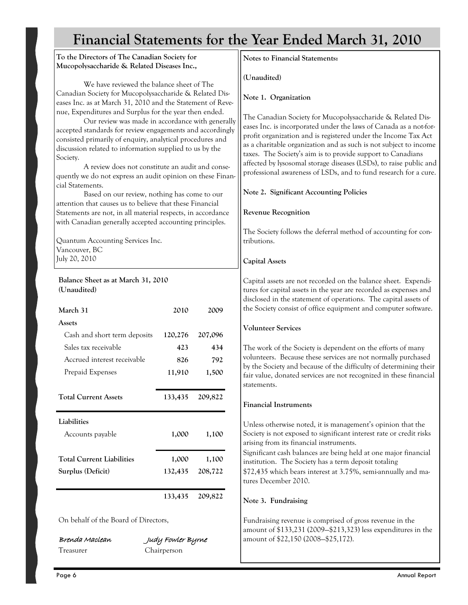# **Financial Statements for the Year Ended March 31, 2010**

**To the Directors of The Canadian Society for Mucopolysaccharide & Related Diseases Inc.,**  We have reviewed the balance sheet of The Canadian Society for Mucopolysaccharide & Related Diseases Inc. as at March 31, 2010 and the Statement of Revenue, Expenditures and Surplus for the year then ended. Our review was made in accordance with generally accepted standards for review engagements and accordingly consisted primarily of enquiry, analytical procedures and discussion related to information supplied to us by the Society. A review does not constitute an audit and consequently we do not express an audit opinion on these Financial Statements. Based on our review, nothing has come to our attention that causes us to believe that these Financial Statements are not, in all material respects, in accordance with Canadian generally accepted accounting principles. Quantum Accounting Services Inc. Vancouver, BC July 20, 2010 **March 31 Assets** Cash and short term deposits Sales tax receivable Accrued interest receivable Prepaid Expenses **Total Current Assets Liabilities**  Accounts payable **Total Current Liabilities Surplus (Deficit) 2010 120,276 423 826 11,910 133,435 1,000 1,000 132,435 133,435**  On behalf of the Board of Directors, Brenda MacleanJudy Fowler Byrne Treasurer Chairperson **Notes to Financial Statements: (Unaudited) Note 1. Organization**  The Canadian Society for Mucopolysaccharide & Related Diseases Inc. is incorporated under the laws of Canada as a not-forprofit organization and is registered under the Income Tax Act as a charitable organization and as such is not subject to income taxes. The Society's aim is to provide support to Canadians affected by lysosomal storage diseases (LSDs), to raise public and professional awareness of LSDs, and to fund research for a cure. **Note 2. Significant Accounting Policies Revenue Recognition**  The Society follows the deferral method of accounting for contributions. **Capital Assets**  Capital assets are not recorded on the balance sheet. Expenditures for capital assets in the year are recorded as expenses and disclosed in the statement of operations. The capital assets of the Society consist of office equipment and computer software. **Volunteer Services**  The work of the Society is dependent on the efforts of many volunteers. Because these services are not normally purchased by the Society and because of the difficulty of determining their fair value, donated services are not recognized in these financial statements. **Financial Instruments**  Unless otherwise noted, it is management's opinion that the Society is not exposed to significant interest rate or credit risks arising from its financial instruments. Significant cash balances are being held at one major financial institution. The Society has a term deposit totaling \$72,435 which bears interest at 3.75%, semi-annually and matures December 2010. **Note 3. Fundraising**  Fundraising revenue is comprised of gross revenue in the amount of \$133,231 (2009—\$213,323) less expenditures in the amount of \$22,150 (2008—\$25,172). **2009 207,096 434 792 1,500 209,822 1,100 1,100 208,722 209,822 Balance Sheet as at March 31, 2010 (Unaudited)**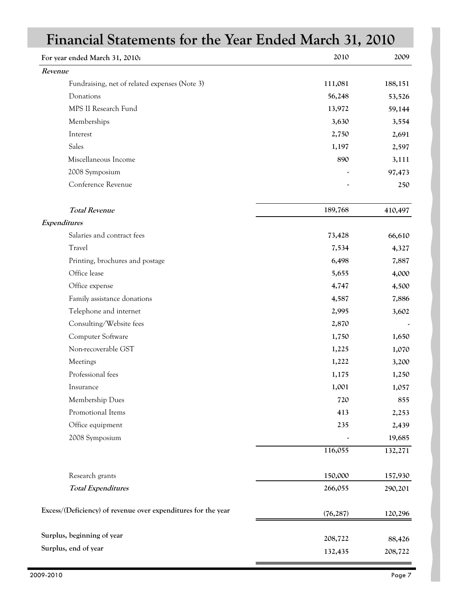| Financial Statements for the Year Ended March 31, 2010        |           |         |
|---------------------------------------------------------------|-----------|---------|
| For year ended March 31, 2010:                                | 2010      | 2009    |
| Revenue                                                       |           |         |
| Fundraising, net of related expenses (Note 3)                 | 111,081   | 188,151 |
| Donations                                                     | 56,248    | 53,526  |
| MPS II Research Fund                                          | 13,972    | 59,144  |
| Memberships                                                   | 3,630     | 3,554   |
| Interest                                                      | 2,750     | 2,691   |
| Sales                                                         | 1,197     | 2,597   |
| Miscellaneous Income                                          | 890       | 3,111   |
| 2008 Symposium                                                |           | 97,473  |
| Conference Revenue                                            |           | 250     |
| <b>Total Revenue</b>                                          | 189,768   | 410,497 |
| Expenditures                                                  |           |         |
| Salaries and contract fees                                    | 73,428    | 66,610  |
| Travel                                                        | 7,534     | 4,327   |
| Printing, brochures and postage                               | 6,498     | 7,887   |
| Office lease                                                  | 5,655     | 4,000   |
| Office expense                                                | 4,747     | 4,500   |
| Family assistance donations                                   | 4,587     | 7,886   |
| Telephone and internet                                        | 2,995     | 3,602   |
| Consulting/Website fees                                       | 2,870     |         |
| Computer Software                                             | 1,750     | 1,650   |
| Non-recoverable GST                                           | 1,225     | 1,070   |
| Meetings                                                      | 1,222     | 3,200   |
| Professional fees                                             | 1,175     | 1,250   |
| Insurance                                                     | 1,001     | 1,057   |
| Membership Dues                                               | 720       | 855     |
| Promotional Items                                             | 413       | 2,253   |
| Office equipment                                              | 235       | 2,439   |
| 2008 Symposium                                                |           | 19,685  |
|                                                               | 116,055   | 132,271 |
| Research grants                                               | 150,000   | 157,930 |
| <b>Total Expenditures</b>                                     | 266,055   | 290,201 |
| Excess/(Deficiency) of revenue over expenditures for the year | (76, 287) | 120,296 |
| Surplus, beginning of year                                    | 208,722   | 88,426  |
| Surplus, end of year                                          | 132,435   | 208,722 |

÷